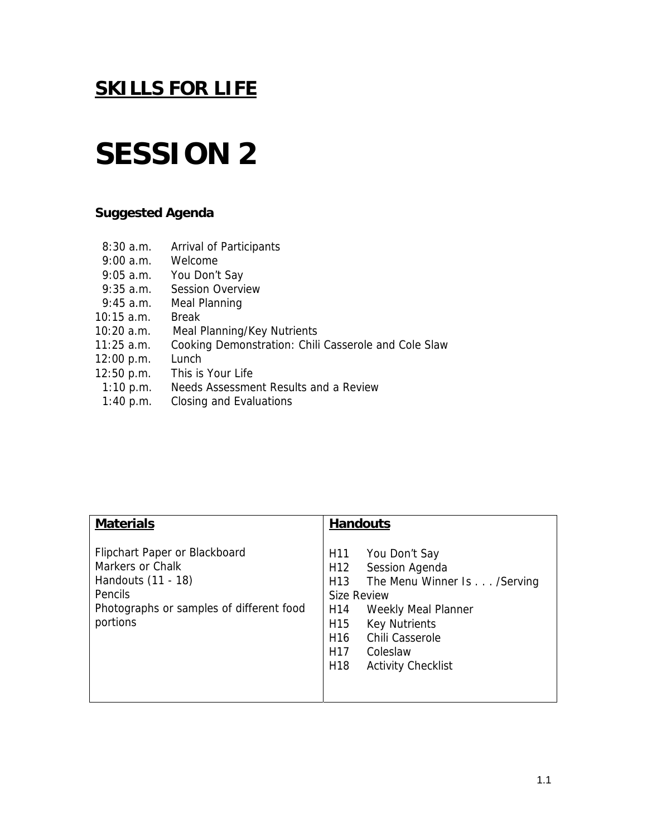### **SESSION 2**

### **Suggested Agenda**

- 8:30 a.m. Arrival of Participants
- 9:00 a.m. Welcome
- 9:05 a.m. You Don't Say
- 9:35 a.m. Session Overview
- 9:45 a.m. Meal Planning
- 10:15 a.m. Break
- 10:20 a.m. Meal Planning/Key Nutrients
- 11:25 a.m. Cooking Demonstration: Chili Casserole and Cole Slaw
- 12:00 p.m. Lunch
- 12:50 p.m. This is Your Life
- 1:10 p.m. Needs Assessment Results and a Review
- 1:40 p.m. Closing and Evaluations

| <b>Materials</b>                                                                                                                                  | <b>Handouts</b>                                                                                                                                                                                                                                                                                                                 |
|---------------------------------------------------------------------------------------------------------------------------------------------------|---------------------------------------------------------------------------------------------------------------------------------------------------------------------------------------------------------------------------------------------------------------------------------------------------------------------------------|
| Flipchart Paper or Blackboard<br>Markers or Chalk<br>Handouts (11 - 18)<br><b>Pencils</b><br>Photographs or samples of different food<br>portions | H <sub>11</sub><br>You Don't Say<br>Session Agenda<br>H <sub>12</sub><br>The Menu Winner Is /Serving<br>H13<br>Size Review<br>H <sub>14</sub><br><b>Weekly Meal Planner</b><br>H <sub>15</sub><br><b>Key Nutrients</b><br>Chili Casserole<br>H <sub>16</sub><br>H17<br>Coleslaw<br>H <sub>18</sub><br><b>Activity Checklist</b> |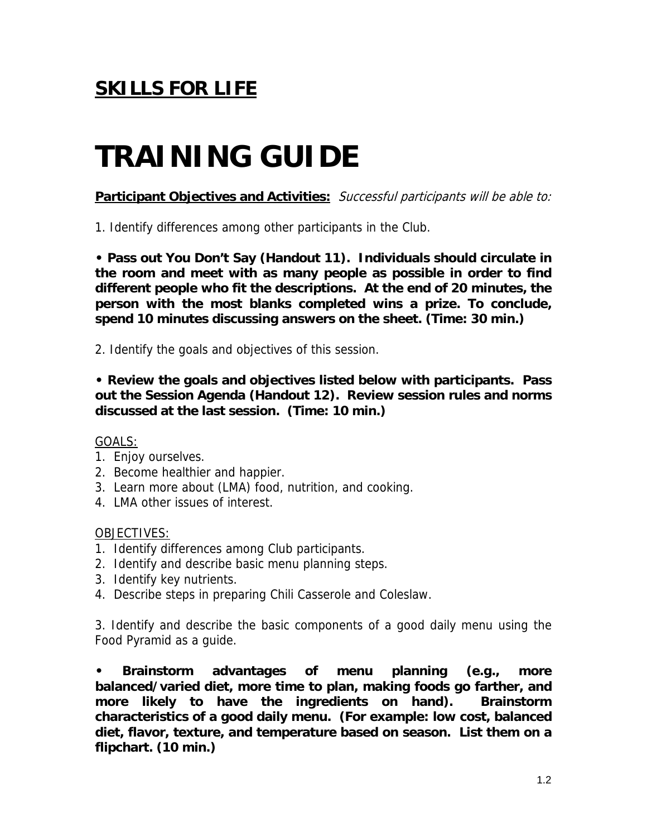# **TRAINING GUIDE**

**Participant Objectives and Activities:** Successful participants will be able to:

1. Identify differences among other participants in the Club.

**• Pass out You Don't Say (Handout 11). Individuals should circulate in the room and meet with as many people as possible in order to find different people who fit the descriptions. At the end of 20 minutes, the person with the most blanks completed wins a prize. To conclude, spend 10 minutes discussing answers on the sheet. (Time: 30 min.)** 

2. Identify the goals and objectives of this session.

**• Review the goals and objectives listed below with participants. Pass out the Session Agenda (Handout 12). Review session rules and norms discussed at the last session. (Time: 10 min.)** 

#### GOALS:

- 1. Enjoy ourselves.
- 2. Become healthier and happier.
- 3. Learn more about (LMA) food, nutrition, and cooking.
- 4. LMA other issues of interest.

#### OBJECTIVES:

- 1. Identify differences among Club participants.
- 2. Identify and describe basic menu planning steps.
- 3. Identify key nutrients.
- 4. Describe steps in preparing Chili Casserole and Coleslaw.

3. Identify and describe the basic components of a good daily menu using the Food Pyramid as a guide.

**• Brainstorm advantages of menu planning (e.g., more balanced/varied diet, more time to plan, making foods go farther, and more likely to have the ingredients on hand). Brainstorm characteristics of a good daily menu. (For example: low cost, balanced diet, flavor, texture, and temperature based on season. List them on a flipchart. (10 min.)**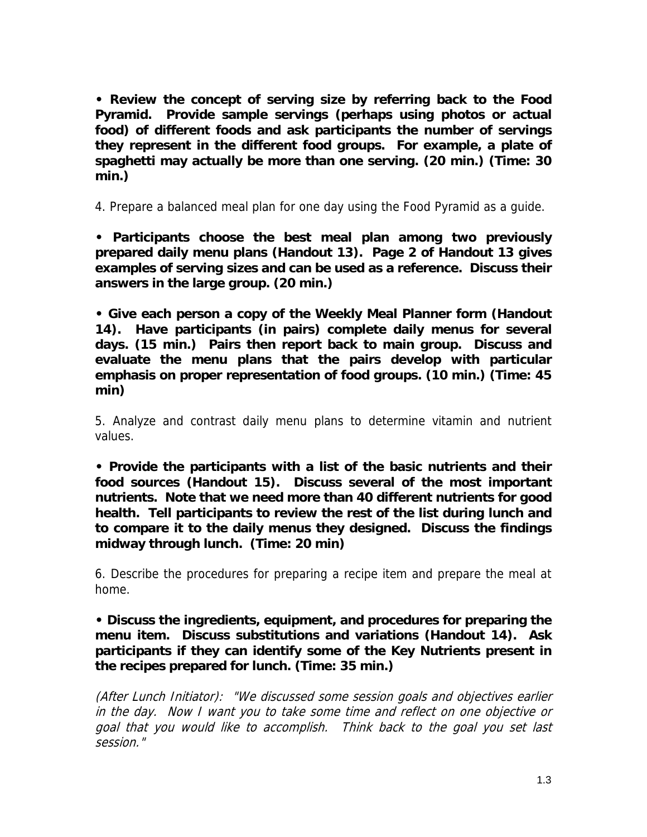**• Review the concept of serving size by referring back to the Food Pyramid. Provide sample servings (perhaps using photos or actual food) of different foods and ask participants the number of servings they represent in the different food groups. For example, a plate of spaghetti may actually be more than one serving. (20 min.) (Time: 30 min.)** 

4. Prepare a balanced meal plan for one day using the Food Pyramid as a guide.

**• Participants choose the best meal plan among two previously prepared daily menu plans (Handout 13). Page 2 of Handout 13 gives examples of serving sizes and can be used as a reference. Discuss their answers in the large group. (20 min.)** 

**• Give each person a copy of the Weekly Meal Planner form (Handout 14). Have participants (in pairs) complete daily menus for several days. (15 min.) Pairs then report back to main group. Discuss and evaluate the menu plans that the pairs develop with particular emphasis on proper representation of food groups. (10 min.) (Time: 45 min)** 

5. Analyze and contrast daily menu plans to determine vitamin and nutrient values.

**• Provide the participants with a list of the basic nutrients and their food sources (Handout 15). Discuss several of the most important nutrients. Note that we need more than 40 different nutrients for good health. Tell participants to review the rest of the list during lunch and to compare it to the daily menus they designed. Discuss the findings midway through lunch. (Time: 20 min)** 

6. Describe the procedures for preparing a recipe item and prepare the meal at home.

**• Discuss the ingredients, equipment, and procedures for preparing the menu item. Discuss substitutions and variations (Handout 14). Ask participants if they can identify some of the Key Nutrients present in the recipes prepared for lunch. (Time: 35 min.)** 

(After Lunch Initiator): "We discussed some session goals and objectives earlier in the day. Now I want you to take some time and reflect on one objective or goal that you would like to accomplish. Think back to the goal you set last session."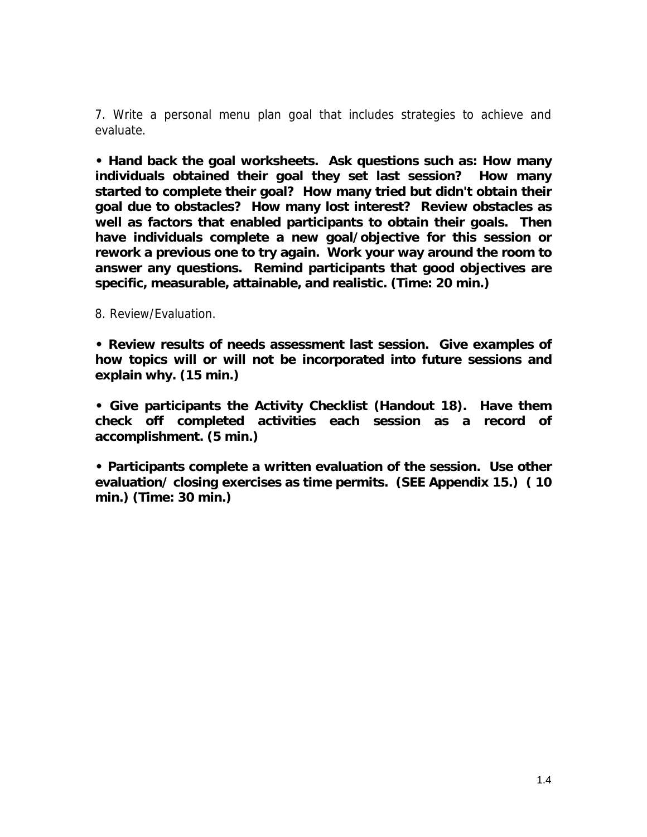7. Write a personal menu plan goal that includes strategies to achieve and evaluate.

**• Hand back the goal worksheets. Ask questions such as: How many individuals obtained their goal they set last session? How many started to complete their goal? How many tried but didn't obtain their goal due to obstacles? How many lost interest? Review obstacles as well as factors that enabled participants to obtain their goals. Then have individuals complete a new goal/objective for this session or rework a previous one to try again. Work your way around the room to answer any questions. Remind participants that good objectives are specific, measurable, attainable, and realistic. (Time: 20 min.)**

8. Review/Evaluation.

**• Review results of needs assessment last session. Give examples of how topics will or will not be incorporated into future sessions and explain why. (15 min.)** 

**• Give participants the Activity Checklist (Handout 18). Have them check off completed activities each session as a record of accomplishment. (5 min.)** 

**• Participants complete a written evaluation of the session. Use other evaluation/ closing exercises as time permits. (SEE Appendix 15.) ( 10 min.) (Time: 30 min.)**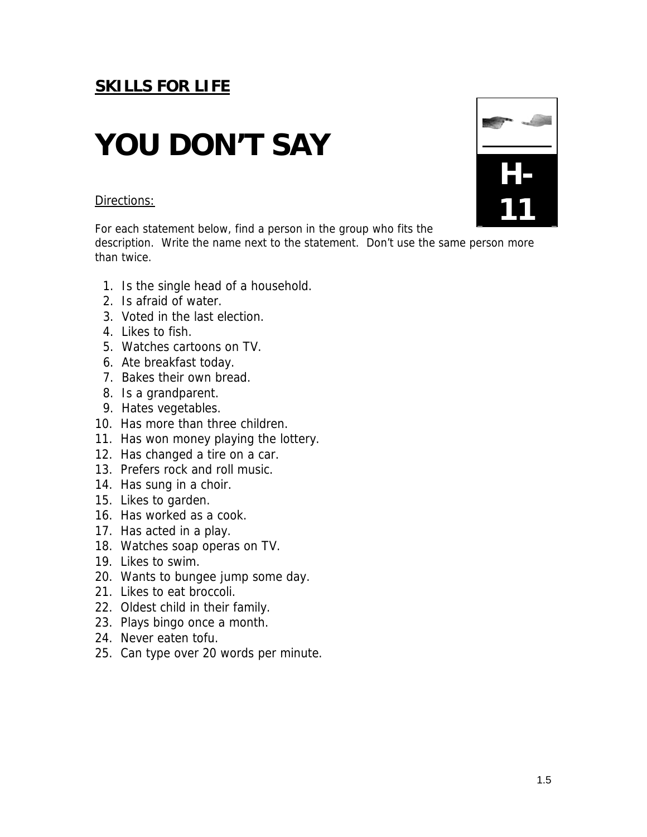# **YOU DON'T SAY**

#### Directions:

For each statement below, find a person in the group who fits the description. Write the name next to the statement. Don't use the same person more

than twice.

- 1. Is the single head of a household.
- 2. Is afraid of water.
- 3. Voted in the last election.
- 4. Likes to fish.
- 5. Watches cartoons on TV.
- 6. Ate breakfast today.
- 7. Bakes their own bread.
- 8. Is a grandparent.
- 9. Hates vegetables.
- 10. Has more than three children.
- 11. Has won money playing the lottery.
- 12. Has changed a tire on a car.
- 13. Prefers rock and roll music.
- 14. Has sung in a choir.
- 15. Likes to garden.
- 16. Has worked as a cook.
- 17. Has acted in a play.
- 18. Watches soap operas on TV.
- 19. Likes to swim.
- 20. Wants to bungee jump some day.
- 21. Likes to eat broccoli.
- 22. Oldest child in their family.
- 23. Plays bingo once a month.
- 24. Never eaten tofu.
- 25. Can type over 20 words per minute.

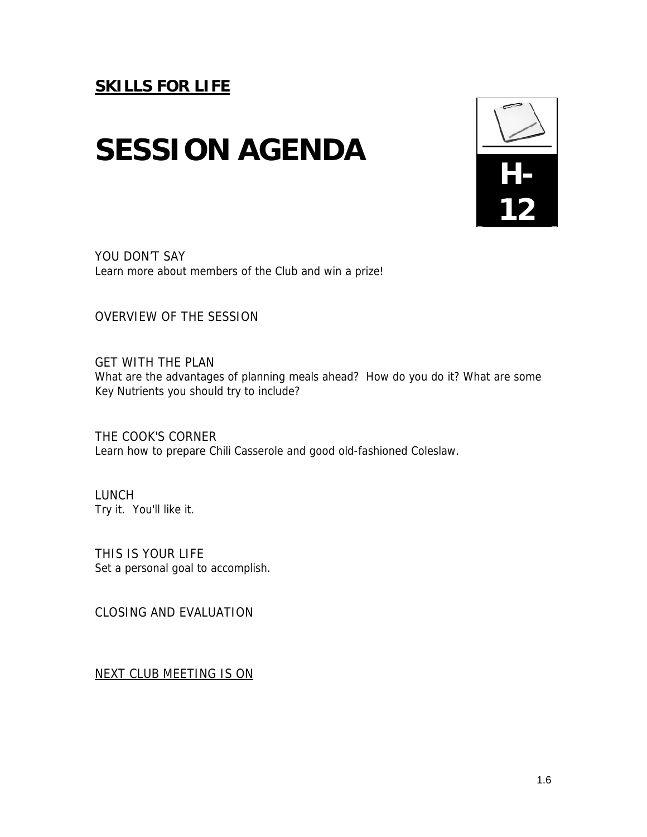## **SESSION AGENDA**



YOU DON'T SAY Learn more about members of the Club and win a prize!

OVERVIEW OF THE SESSION

GET WITH THE PLAN What are the advantages of planning meals ahead? How do you do it? What are some Key Nutrients you should try to include?

THE COOK'S CORNER Learn how to prepare Chili Casserole and good old-fashioned Coleslaw.

LUNCH Try it. You'll like it.

THIS IS YOUR LIFE Set a personal goal to accomplish.

CLOSING AND EVALUATION

NEXT CLUB MEETING IS ON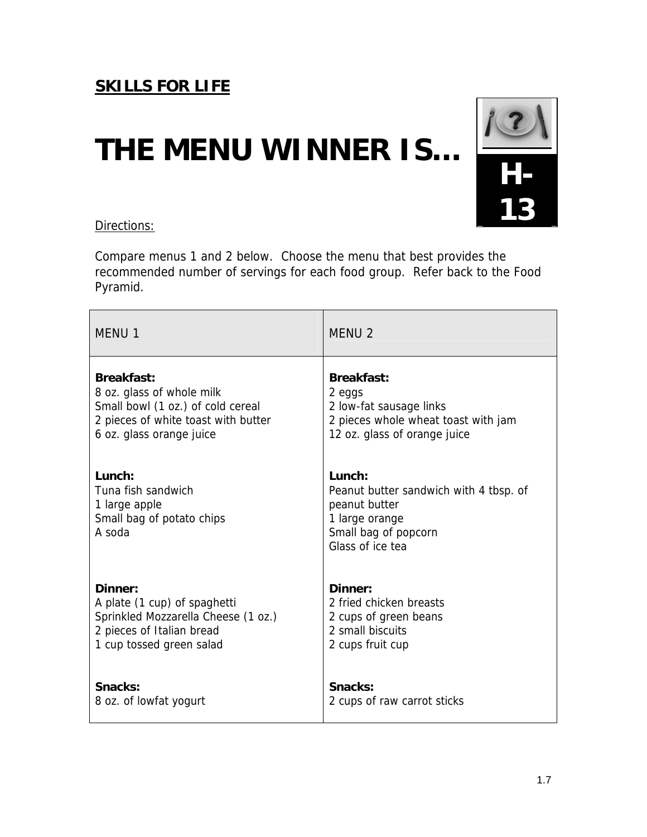## **THE MENU WINNER IS…**



### Directions:

Compare menus 1 and 2 below. Choose the menu that best provides the recommended number of servings for each food group. Refer back to the Food Pyramid.

| <b>MENU1</b>                                                                         | <b>MENU 2</b>                                                                                                                      |
|--------------------------------------------------------------------------------------|------------------------------------------------------------------------------------------------------------------------------------|
| <b>Breakfast:</b>                                                                    | <b>Breakfast:</b>                                                                                                                  |
| 8 oz. glass of whole milk                                                            | 2 eggs                                                                                                                             |
| Small bowl (1 oz.) of cold cereal                                                    | 2 low-fat sausage links                                                                                                            |
| 2 pieces of white toast with butter                                                  | 2 pieces whole wheat toast with jam                                                                                                |
| 6 oz. glass orange juice                                                             | 12 oz. glass of orange juice                                                                                                       |
| Lunch:<br>Tuna fish sandwich<br>1 large apple<br>Small bag of potato chips<br>A soda | $L$ unch:<br>Peanut butter sandwich with 4 tbsp. of<br>peanut butter<br>1 large orange<br>Small bag of popcorn<br>Glass of ice tea |
| Dinner:                                                                              | Dinner:                                                                                                                            |
| A plate (1 cup) of spaghetti                                                         | 2 fried chicken breasts                                                                                                            |
| Sprinkled Mozzarella Cheese (1 oz.)                                                  | 2 cups of green beans                                                                                                              |
| 2 pieces of Italian bread                                                            | 2 small biscuits                                                                                                                   |
| 1 cup tossed green salad                                                             | 2 cups fruit cup                                                                                                                   |
| Snacks:                                                                              | Snacks:                                                                                                                            |
| 8 oz. of lowfat yogurt                                                               | 2 cups of raw carrot sticks                                                                                                        |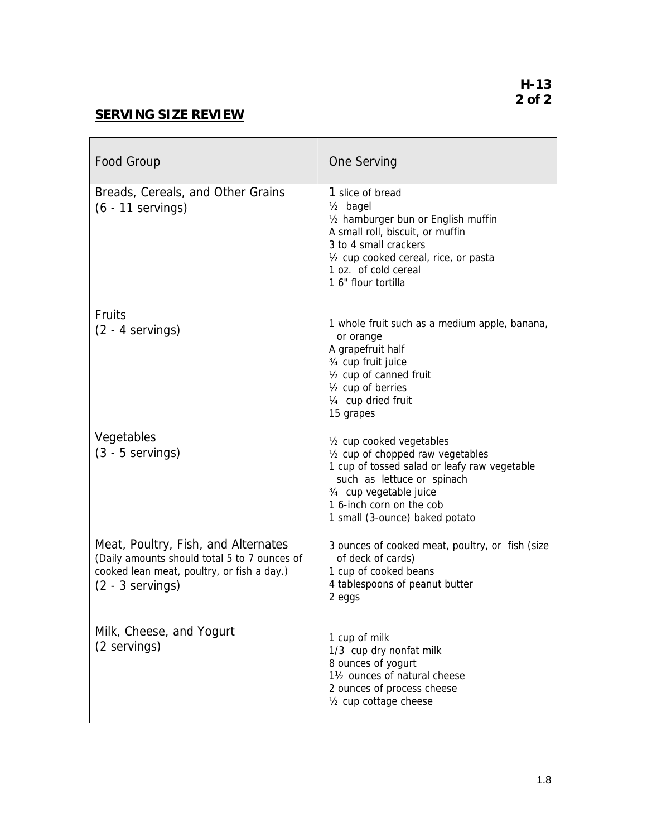**H-13 2 of 2**

### **SERVING SIZE REVIEW**

| Food Group                                                                                                                                              | One Serving                                                                                                                                                                                                                                       |
|---------------------------------------------------------------------------------------------------------------------------------------------------------|---------------------------------------------------------------------------------------------------------------------------------------------------------------------------------------------------------------------------------------------------|
| Breads, Cereals, and Other Grains<br>$(6 - 11$ servings)                                                                                                | 1 slice of bread<br>$1/2$ bagel<br>1/2 hamburger bun or English muffin<br>A small roll, biscuit, or muffin<br>3 to 4 small crackers<br>1/2 cup cooked cereal, rice, or pasta<br>1 oz. of cold cereal<br>1 6" flour tortilla                       |
| <b>Fruits</b><br>$(2 - 4$ servings)                                                                                                                     | 1 whole fruit such as a medium apple, banana,<br>or orange<br>A grapefruit half<br>3/4 cup fruit juice<br>1/2 cup of canned fruit<br>1/ <sub>2</sub> cup of berries<br>1/4 cup dried fruit<br>15 grapes                                           |
| Vegetables<br>$(3 - 5$ servings)                                                                                                                        | 1/ <sub>2</sub> cup cooked vegetables<br>1/2 cup of chopped raw vegetables<br>1 cup of tossed salad or leafy raw vegetable<br>such as lettuce or spinach<br>3/4 cup vegetable juice<br>1 6-inch corn on the cob<br>1 small (3-ounce) baked potato |
| Meat, Poultry, Fish, and Alternates<br>(Daily amounts should total 5 to 7 ounces of<br>cooked lean meat, poultry, or fish a day.)<br>$(2 - 3$ servings) | 3 ounces of cooked meat, poultry, or fish (size<br>of deck of cards)<br>1 cup of cooked beans<br>4 tablespoons of peanut butter<br>2 eggs                                                                                                         |
| Milk, Cheese, and Yogurt<br>(2 servings)                                                                                                                | 1 cup of milk<br>1/3 cup dry nonfat milk<br>8 ounces of yogurt<br>11/2 ounces of natural cheese<br>2 ounces of process cheese<br>1/2 cup cottage cheese                                                                                           |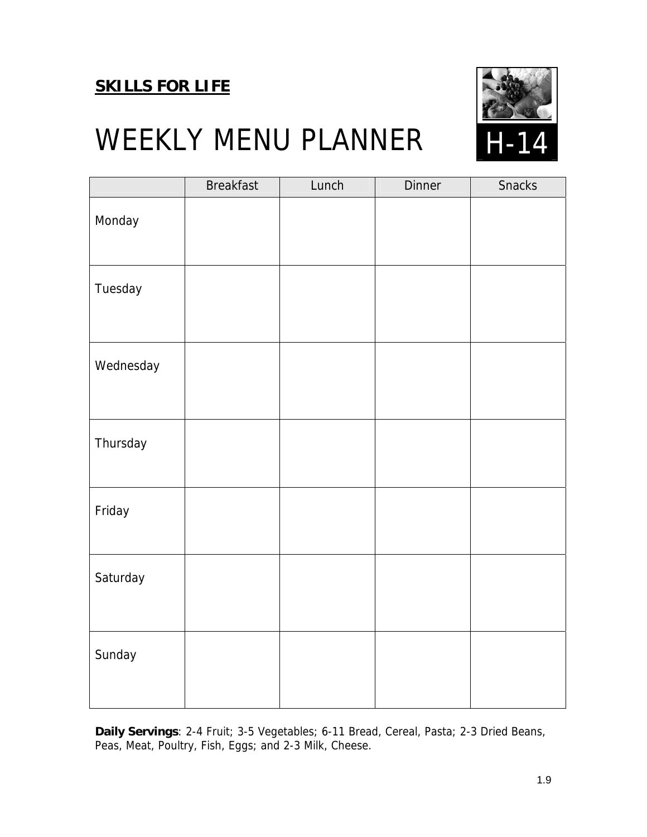

### WEEKLY MENU PLANNER

|           | <b>Breakfast</b> | Lunch | <b>Dinner</b> | <b>Snacks</b> |
|-----------|------------------|-------|---------------|---------------|
| Monday    |                  |       |               |               |
| Tuesday   |                  |       |               |               |
| Wednesday |                  |       |               |               |
| Thursday  |                  |       |               |               |
| Friday    |                  |       |               |               |
| Saturday  |                  |       |               |               |
| Sunday    |                  |       |               |               |

**Daily Servings**: 2-4 Fruit; 3-5 Vegetables; 6-11 Bread, Cereal, Pasta; 2-3 Dried Beans, Peas, Meat, Poultry, Fish, Eggs; and 2-3 Milk, Cheese.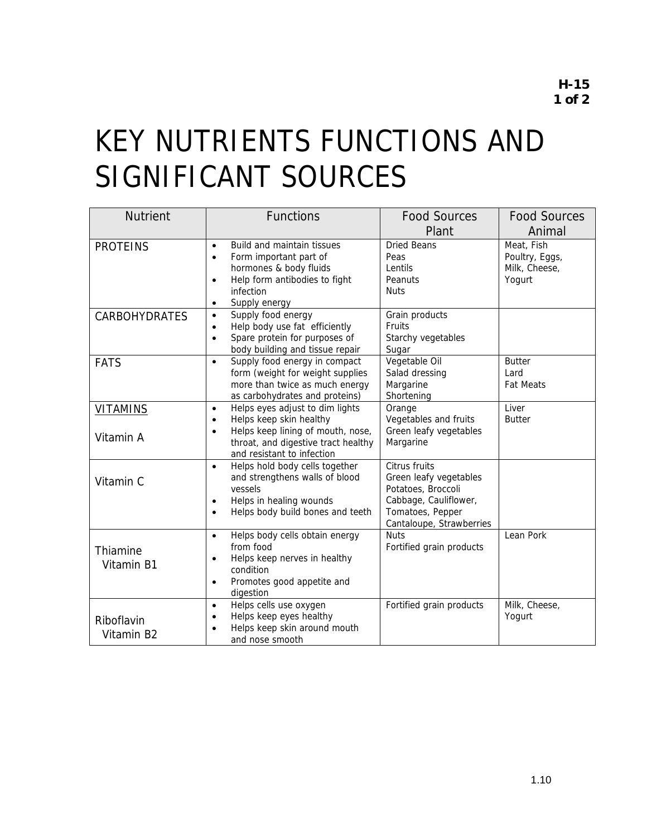## KEY NUTRIENTS FUNCTIONS AND SIGNIFICANT SOURCES

| <b>Nutrient</b>              | <b>Functions</b>                                                                                                                                                                                            | <b>Food Sources</b><br>Plant                                                                                                           | <b>Food Sources</b><br>Animal                           |
|------------------------------|-------------------------------------------------------------------------------------------------------------------------------------------------------------------------------------------------------------|----------------------------------------------------------------------------------------------------------------------------------------|---------------------------------------------------------|
| <b>PROTEINS</b>              | Build and maintain tissues<br>$\bullet$<br>Form important part of<br>$\bullet$<br>hormones & body fluids<br>Help form antibodies to fight<br>$\bullet$<br>infection<br>Supply energy<br>$\bullet$           | <b>Dried Beans</b><br>Peas<br>Lentils<br>Peanuts<br><b>Nuts</b>                                                                        | Meat, Fish<br>Poultry, Eggs,<br>Milk, Cheese,<br>Yogurt |
| <b>CARBOHYDRATES</b>         | Supply food energy<br>$\bullet$<br>Help body use fat efficiently<br>$\bullet$<br>Spare protein for purposes of<br>$\bullet$<br>body building and tissue repair                                              | Grain products<br>Fruits<br>Starchy vegetables<br>Sugar                                                                                |                                                         |
| <b>FATS</b>                  | Supply food energy in compact<br>$\bullet$<br>form (weight for weight supplies<br>more than twice as much energy<br>as carbohydrates and proteins)                                                          | Vegetable Oil<br>Salad dressing<br>Margarine<br>Shortening                                                                             | <b>Butter</b><br>Lard<br><b>Fat Meats</b>               |
| <b>VITAMINS</b><br>Vitamin A | Helps eyes adjust to dim lights<br>$\bullet$<br>Helps keep skin healthy<br>$\bullet$<br>Helps keep lining of mouth, nose,<br>$\bullet$<br>throat, and digestive tract healthy<br>and resistant to infection | Orange<br>Vegetables and fruits<br>Green leafy vegetables<br>Margarine                                                                 | Liver<br><b>Butter</b>                                  |
| Vitamin C                    | Helps hold body cells together<br>$\bullet$<br>and strengthens walls of blood<br>vessels<br>Helps in healing wounds<br>$\bullet$<br>Helps body build bones and teeth<br>$\bullet$                           | Citrus fruits<br>Green leafy vegetables<br>Potatoes, Broccoli<br>Cabbage, Cauliflower,<br>Tomatoes, Pepper<br>Cantaloupe, Strawberries |                                                         |
| Thiamine<br>Vitamin B1       | Helps body cells obtain energy<br>$\bullet$<br>from food<br>Helps keep nerves in healthy<br>$\bullet$<br>condition<br>Promotes good appetite and<br>$\bullet$<br>digestion                                  | <b>Nuts</b><br>Fortified grain products                                                                                                | Lean Pork                                               |
| Riboflavin<br>Vitamin B2     | Helps cells use oxygen<br>$\bullet$<br>Helps keep eyes healthy<br>$\bullet$<br>Helps keep skin around mouth<br>and nose smooth                                                                              | Fortified grain products                                                                                                               | Milk, Cheese,<br>Yogurt                                 |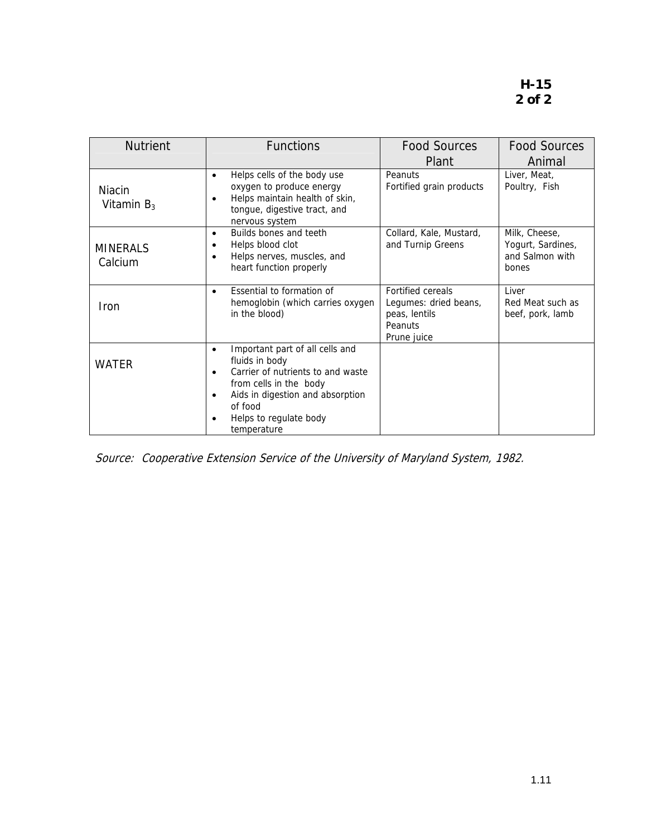| <b>Nutrient</b>                | <b>Functions</b>                                                                                                                                                                                                                                | <b>Food Sources</b><br>Plant                                                                 | <b>Food Sources</b><br>Animal                                  |
|--------------------------------|-------------------------------------------------------------------------------------------------------------------------------------------------------------------------------------------------------------------------------------------------|----------------------------------------------------------------------------------------------|----------------------------------------------------------------|
| <b>Niacin</b><br>Vitamin $B_3$ | Helps cells of the body use<br>$\bullet$<br>oxygen to produce energy<br>Helps maintain health of skin,<br>$\bullet$<br>tongue, digestive tract, and<br>nervous system                                                                           | Peanuts<br>Fortified grain products                                                          | Liver, Meat,<br>Poultry, Fish                                  |
| <b>MINERALS</b><br>Calcium     | Builds bones and teeth<br>$\bullet$<br>Helps blood clot<br>٠<br>Helps nerves, muscles, and<br>¢<br>heart function properly                                                                                                                      | Collard, Kale, Mustard,<br>and Turnip Greens                                                 | Milk, Cheese,<br>Yogurt, Sardines,<br>and Salmon with<br>bones |
| Iron                           | Essential to formation of<br>$\bullet$<br>hemoglobin (which carries oxygen<br>in the blood)                                                                                                                                                     | <b>Fortified cereals</b><br>Legumes: dried beans,<br>peas, lentils<br>Peanuts<br>Prune juice | Liver<br>Red Meat such as<br>beef, pork, lamb                  |
| <b>WATER</b>                   | Important part of all cells and<br>$\bullet$<br>fluids in body<br>Carrier of nutrients to and waste<br>$\bullet$<br>from cells in the body<br>Aids in digestion and absorption<br>$\bullet$<br>of food<br>Helps to regulate body<br>temperature |                                                                                              |                                                                |

Source: Cooperative Extension Service of the University of Maryland System, 1982.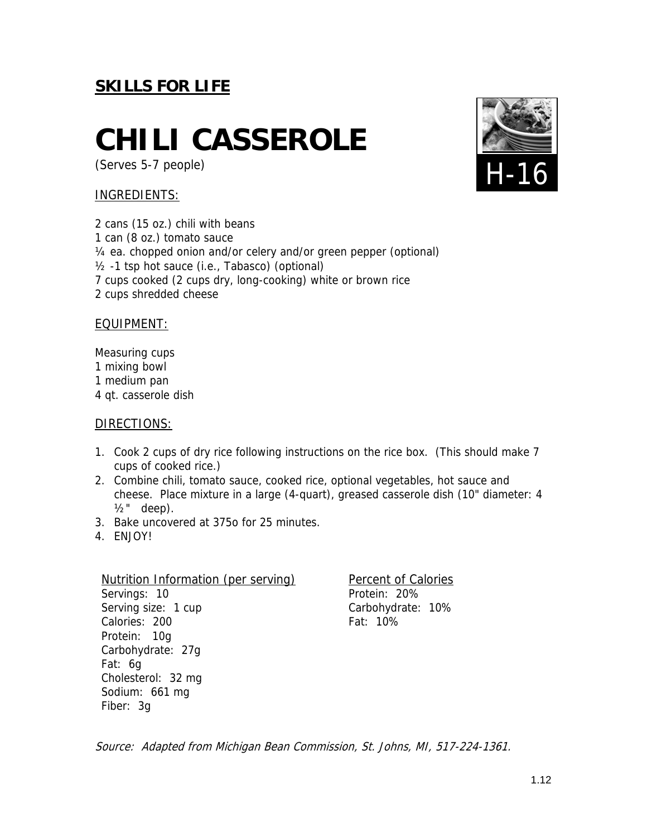### **CHILI CASSEROLE**

(Serves 5-7 people)

### INGREDIENTS:

2 cans (15 oz.) chili with beans 1 can (8 oz.) tomato sauce ¼ ea. chopped onion and/or celery and/or green pepper (optional) ½ -1 tsp hot sauce (i.e., Tabasco) (optional) 7 cups cooked (2 cups dry, long-cooking) white or brown rice 2 cups shredded cheese

#### EQUIPMENT:

Measuring cups 1 mixing bowl 1 medium pan 4 qt. casserole dish

#### DIRECTIONS:

- 1. Cook 2 cups of dry rice following instructions on the rice box. (This should make 7 cups of cooked rice.)
- 2. Combine chili, tomato sauce, cooked rice, optional vegetables, hot sauce and cheese. Place mixture in a large (4-quart), greased casserole dish (10" diameter: 4  $1/2$ " deep).
- 3. Bake uncovered at 375o for 25 minutes.
- 4. ENJOY!

Nutrition Information (per serving) Servings: 10 Serving size: 1 cup Calories: 200 Protein: 10g Carbohydrate: 27g Fat: 6g Cholesterol: 32 mg Sodium: 661 mg Fiber: 3g

Percent of Calories Protein: 20% Carbohydrate: 10% Fat: 10%

Source: Adapted from Michigan Bean Commission, St. Johns, MI, 517-224-1361.

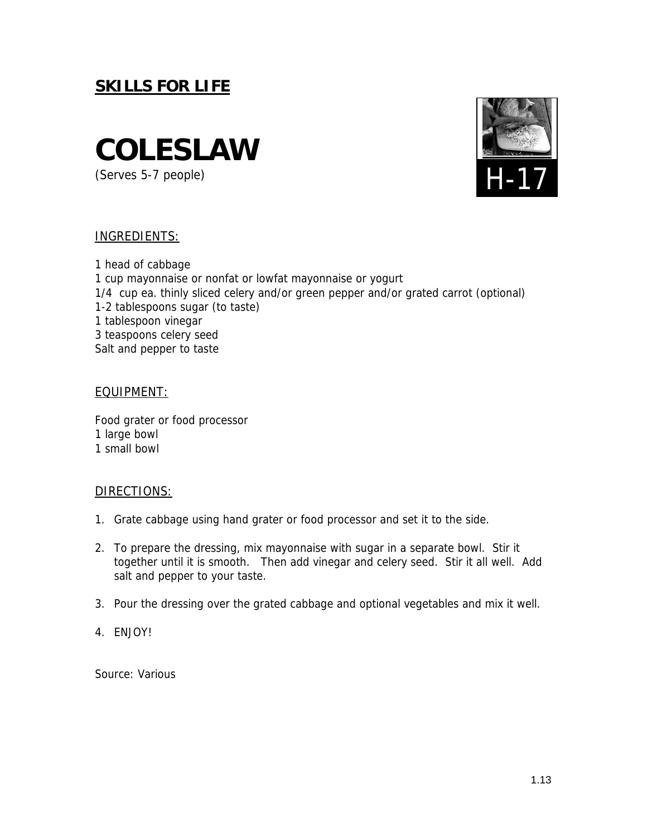

(Serves 5-7 people)



#### INGREDIENTS:

1 head of cabbage 1 cup mayonnaise or nonfat or lowfat mayonnaise or yogurt 1/4 cup ea. thinly sliced celery and/or green pepper and/or grated carrot (optional) 1-2 tablespoons sugar (to taste) 1 tablespoon vinegar 3 teaspoons celery seed Salt and pepper to taste

#### EQUIPMENT:

Food grater or food processor 1 large bowl 1 small bowl

#### DIRECTIONS:

- 1. Grate cabbage using hand grater or food processor and set it to the side.
- 2. To prepare the dressing, mix mayonnaise with sugar in a separate bowl. Stir it together until it is smooth. Then add vinegar and celery seed. Stir it all well. Add salt and pepper to your taste.
- 3. Pour the dressing over the grated cabbage and optional vegetables and mix it well.
- 4. ENJOY!

Source: Various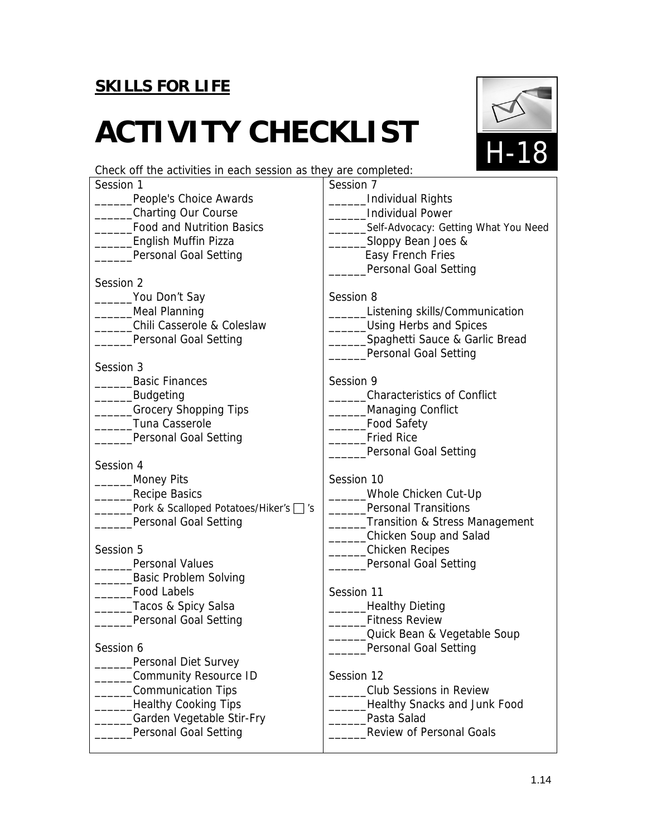# **ACTIVITY CHECKLIST**



Check off the activities in each session as they are completed:

| Session 1                              | Session 7                            |
|----------------------------------------|--------------------------------------|
| People's Choice Awards                 | Individual Rights                    |
| Charting Our Course                    | <b>Individual Power</b>              |
| <b>Food and Nutrition Basics</b>       | Self-Advocacy: Getting What You Need |
| _English Muffin Pizza                  | Sloppy Bean Joes &                   |
| Personal Goal Setting                  | Easy French Fries                    |
|                                        | Personal Goal Setting                |
| Session 2                              |                                      |
| _____You Don't Say                     | Session 8                            |
| ______Meal Planning                    | Listening skills/Communication       |
| Chili Casserole & Coleslaw             | ___Using Herbs and Spices            |
| Personal Goal Setting                  | ____Spaghetti Sauce & Garlic Bread   |
|                                        | Personal Goal Setting                |
| Session 3                              |                                      |
| <b>Basic Finances</b>                  | Session 9                            |
| _Budgeting                             | <b>Characteristics of Conflict</b>   |
| _____Grocery Shopping Tips             | Managing Conflict                    |
| Tuna Casserole                         | __Food Safety                        |
| Personal Goal Setting                  | <b>Fried Rice</b>                    |
|                                        | Personal Goal Setting                |
| Session 4                              |                                      |
| <b>Money Pits</b>                      | Session 10                           |
| Recipe Basics                          | Whole Chicken Cut-Up                 |
| Pork & Scalloped Potatoes/Hiker's □ 's | <b>Personal Transitions</b>          |
| Personal Goal Setting                  | Transition & Stress Management       |
|                                        | __Chicken Soup and Salad             |
| Session 5                              | __Chicken Recipes                    |
| <b>Personal Values</b>                 | Personal Goal Setting                |
| __________Basic Problem Solving        |                                      |
| <b>Food Labels</b>                     | Session 11                           |
| _Tacos & Spicy Salsa                   | Healthy Dieting                      |
| Personal Goal Setting                  | <b>Fitness Review</b>                |
|                                        | Quick Bean & Vegetable Soup          |
| Session 6                              | ____Personal Goal Setting            |
| Personal Diet Survey                   |                                      |
| Community Resource ID                  | Session 12                           |
| Communication Tips                     | <b>Club Sessions in Review</b>       |
| <b>Healthy Cooking Tips</b>            | <b>Healthy Snacks and Junk Food</b>  |
| Garden Vegetable Stir-Fry              | Pasta Salad                          |
| Personal Goal Setting                  | <b>Review of Personal Goals</b>      |
|                                        |                                      |